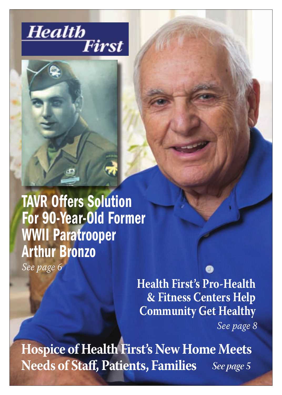



TAVR Offers Solution For 90-Year-Old Former WWII Paratrooper Arthur Bronzo

*See page 6*

**Health First's Pro-Health & Fitness Centers Help Community Get Healthy**

*See page 8*

See page 5 **Hospice of Health First's New Home Meets Needs of Staff, Patients, Families**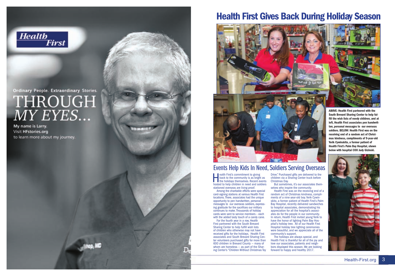

# Ordinary People. Extraordinary Stories. THROUGH  $\overline{MY}$   $\overline{E} \overline{Y} \overline{E} \overline{S}$ ...

My name is Larry. Visit HFstories.org to learn more about my journey.





## Events Help Kids In Need, Soldiers Serving Overseas

**the First's commitment to giving**<br>
back to the community is as bright as<br>
the holidays themselves. Recent events<br>
hosted to help children in need and soldiers back to the community is as bright as hosted to help children in need and soldiers stationed overseas are living proof.

Among the charitable efforts were special card-signing stations at various Health First locations. There, associates had the unique opportunity to pen handwritten, personal messages to our overseas soldiers, expressing gratitude for the sacrifices our military continues to make. Thousands of holiday cards were sent to service members – each with the added tasty touch of a candy cane.

For the fourth year in a row, Health First partnered with the South Brevard Sharing Center to help fulfill wish lists of children who otherwise may not have received gifts for the holidays. Health First associates and South Brevard Sharing Center volunteers purchased gifts for more than 600 children in Brevard County — many of whom are homeless — as part of the Sharing Center's "Children Without Christmas Toy

Drive." Purchased gifts are delivered to the children via a Sharing Center truck before Christmas Day.

But sometimes, it's our associates themselves who inspire the community.

Health First was on the receiving end of a random act of Christmas kindness, compliments of a nine-year-old boy. Yerik Cywinskito, a former patient of Health First's Palm Bay Hospital, recently delivered sandwiches to hospital associates, demonstrating his appreciation for all the hospital's associates do for the people in our community. In return, Health First invited young Yerik to have the honor of lighting Palm Bay Hospital's holiday tree. All of our Health First Hospital holiday tree lighting ceremonies were beautiful, and we appreciate all of the community's support.

The holidays are always special, and Health First is thankful for all of the joy and love our associates, patients and neighbors displayed this season. We are looking forward to happy and healthy 2017.



ABOVE: Health First partnered with the South Brevard Sharing Center to help fulfill the wish lists of needy children, and at left, Health First associates pen handwritten, personal messages to our overseas soldiers. BELOW: Health First was on the receiving end of a random act of Christmas kindness, compliments of 9-year-old Yerik Cywinskito, a former patient of Health First's Palm Bay Hospital, shown below with hospital COO Judy Gizinski.

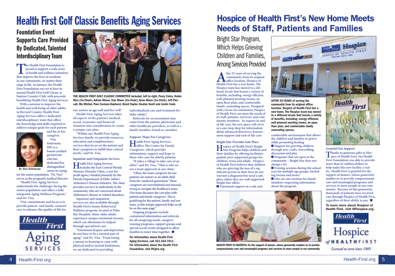# Health First Golf Classic Benefits Aging Services

## Foundation Event Supports Care Provided By Dedicated, Talented Interdisciplinary Team

**The Health First Foundation is proud to support a wide array of health and wellness initiatives that improve the lives of residents in our community, no matter their stage in life. In January, the Health First Foundation was set to host its annual Health First Golf Classic at Suntree Country Club, with proceeds benefitting Health First Aging Services.** 

**With a mission to improve the health and well-being of older adults in Brevard County, Health First Aging Services offers a dedicated interdisciplinary team that offers the knowledge and skills required to address unique goals for each patient and his or her** 

**Visa** 



**for the senior population. "Dr. Visa" serves as the program's medical director.**

**understands the challenges facing the senior population and offers a fully integrated Aging Wellness Program," said Dr. Visa.** 

**"Our commitment and focus is to provide patient- and family-centered care to enhance the quality of life for** 





THE HEALTH FIRST GOLF CLASSIC COMMITTEE included, left to right, Percy Cohrs, Robin Rice (Co-Chair), Adrian Moser, Dan Moon (Co-Chair), Anne Moon (Co-Chair), Jeff Piersall, Mo Michel, Pam Carman-Hayhurst, Brent Naylor, Keaton Senti and Justin Cook.

**our seniors to age well and live well." Health First Aging Services takes all aspects of the patient's medical, social, economic and financial situation into consideration to create a unique care plan.** 

**"Within our Health First Aging Services family, we provide resources, education and complimentary services that focus on the patient and their caregivers to fulfill their critical needs," said Dr. Visa.**

**Inpatient and Outpatient Services**

**Health First Aging Services includes the East Central Florida Memory Disorder Clinic, a not-forprofit agency funded primarily by the Florida Department of Elder Affairs' Alzheimer's Disease Initiative. The clinic provides services to individuals in the community who are concerned about Alzheimer's disease or related disorders.** 

**Inpatient and outpatient services are also available through Health First's Senior Behavioral Wellness program, located at Palm Bay Hospital. Many older adults experience unique emotional stresses, which can oftentimes be helped through specialized care.** 

**"Emotional despair and depression do not have to be a normal part of aging," said Dr. Visa. "From losing a spouse to learning to cope with physical and/or mental limitations, we are dedicated to providing** 

**individualized care and treatment for older adults."**

**Referrals for an assessment may come from the patient, physicians and other healthcare providers, as well as a family member, friend or caretaker.** 

**Support, Hope For Caregivers Health First Aging Services offers The Center for Family Caregivers, which provides information, support and hope to those who care for elderly patients. "It takes a village to take care of an elder," said Dr. Visa. "That is why we use a team approach in our clinic. "Often, the main caregivers for our patients are seniors or an adult child from the 'sandwich generation.' These caregivers are overwhelmed and stressed, trying to navigate the healthcare maze. Our team discusses the care plan with patient and family caregivers. This is gratifying for the patient, family and our team, as this unique approach helps us all be on the same page."**

**Ongoing programs include customized information and referrals for all caregiving needs, caregiver training programs, support groups and special social events designed to allow families to enjoy time together.** 

For information about Health First Aging Services, call 321.434.7611. For information about the Health First Foundation, visit HFgive.org.

## Hospice of Health First's New Home Meets Needs of Staff, Patients and Families

Bright Star Program, Which Helps Grieving Children and Families, Among Services Provided

**A** fter 25 years of serving the community from its origin<br>office location, Hospice of<br>Health First has a new home. The **community from its original office location, Hospice of Hospice team has moved to a different locale that boasts a variety of benefits, including: energy efficient, well-planned meeting rooms; an open floor plan; and comfortable family counseling spaces. Designed with a focus on community, Hospice of Health First can meet the needs of its staff, patients, survivors and community members. As experts in endof-life care, the new space will serve as a one-stop shop for information about advanced directives, bereavement support and end-of-life care.** 

**Bright Star Provides Safe Place**

**Hospice of Health First's Bright Star Program helps children and their families by offering facilitatorguided, peer-supported groups for children, teens and adults. Hospice of Health First believes that children who are grieving the loss of a significant person in their lives do not warrant a diagnosis but need a safe place where they are well supported. Bright Star offers: Emotional support in a safe and** 



HEALTH FIRST IS GRATEFUL for the support of donors, whose generosity enables us to provide compassionate care and meaningful programs and services to more people in our community.



AFTER 25 YEARS of serving the community from its original office location, Hospice of Health First has a new home. The Hospice team has moved to a different locale that boasts a variety of benefits, including: energy efficient, well-planned meeting rooms; an open floor plan; and comfortable family counseling spaces.

**comfortable environment that allows the children and families to grieve while promoting healing n** Support for grieving children **through arts, crafts, storytelling, discussion and play n** Programs that are open to the **community – Bright Star does not** 

**charge a fee Evening sessions during the school year for multiple age groups (including tweens and teens)**

**n** One-on-one sessions for family **members requesting information about the program**



**Grateful For Support**

**Health** 

**First** 

To learn more about Hospice of Health First, visit HFhospice.org.



**"Health First Aging Services**  Dr. Visa Srinivasan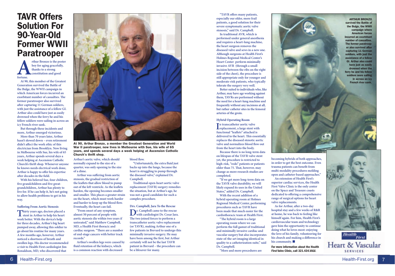## TAVR Offers Solution For 90-Year-Old Former WWII Paratrooper

**Arthur Bronzo is the poster boy for aging gracefully,**<br>thanks to a strong constitution and good fortune. **boy for aging gracefully, thanks to a strong constitution and good fortune.** 

**At 90, this member of the Greatest Generation survived the Battle of the Bulge, the WWII campaign in which American forces incurred an exorbitant number of casualties. The former paratrooper also survived after capturing 11 German soldiers, with just the assistance of a fellow GI. Arthur also could have just as easily drowned when the ferry he and his fellow soldiers were sailing in across an icy French river sank.** 

**But through these incidents and more, Arthur emerged victorious.** 

**More than 70 years later, Arthur hasn't slowed down – even retirement didn't affect the work ethic of this electrician from Brooklyn. Now living in Melbourne with Sue, his wife of 65 years, Arthur spends several days a week helping at Ascension Catholic Church's thrift shop. Whenever anyone he knows needs electrical work done, Arthur is happy to offer his expertise after decades in the field.**

**With his beloved Sue, four children, five grandchildren and five greatgrandchildren, Arthur has plenty to live for. If he can help it, he's not going to allow health problems to get in his way.** 

#### **Suffering From Aortic Stenosis**

**Thirty years ago, doctors placed a stent in Arthur to help his heart work better. With the device's help for three decades, Arthur's big heart pumped away, allowing this soldier to go about his routine for many years. A few months ago, however, Arthur noticed a shortness of breath and swollen legs. His doctor recommended a visit to Health First cardiologist Jim Ronaldson, MD, who discovered that** 



At 90, Arthur Bronzo, a member the Greatest Generation and World War II paratrooper, now lives in Melbourne with Sue, his wife of 65 years, and spends several days a week helping at Ascension Catholic Church's thrift shop.

**Arthur's aortic valve, which should normally expand to the size of a quarter, was only opening to the size of a dime.**

**Arthur was suffering from aortic stenosis, the gradual restriction of the leaflets that allow blood to pump out of the left ventricle. As the leaflets harden, the opening becomes smaller and smaller. This places a greater strain on the heart, which must work harder and harder to keep up the blood flow. Eventually, the heart can fail.**

**"From onset of any symptom, almost 50 percent of people with aortic stenosis die within two years if untreated," said Matthew Campbell, MD, a Health First thoracic and cardiac surgeon. "There are a number of end-stage cancers with better track records."** 

**Arthur's swollen legs were caused by fluid retention of the kidneys, which is a common reaction with decreased** 

#### **blood flow.**

**"Unfortunately, the extra fluid just backs up into the lungs, because the heart is struggling to pump through the diseased valve," explained Dr. Campbell.**

**Traditional open-heart aortic valve replacement (TAVR) surgery remedies the situation, but at Arthur's age, he was not a good candidate for such a complex procedure.** 

**Drs. Campbell, Jara To the Rescue Dr. Campbell came to the rescue with cardiologist Dr. Cesar Jara. The two joined forces to perform a transcatheter aortic valve replacement (or TAVR), making Arthur one of a few patients in Brevard to undergo this minimally invasive surgery. He may have been among the first, but Arthur certainly will not be the last TAVR patient in Brevard – the procedure can be a lifesaver for many.**

**"TAVR offers many patients, especially our older, more frail patients, a good solution for their severe symptomatic aortic valve stenosis," said Dr. Campbell.** 

**In traditional AVR, which is performed under general anesthesia and requires a heart-lung machine, the heart surgeon removes the diseased valve and sews in a new one. Although surgeons at Health First's Holmes Regional Medical Center's Heart Center perform minimally invasive AVR (through a small incision between the ribs on the right side of the chest), the procedure is still appropriate only for younger and moderate-risk patients, who typically tolerate the surgery very well.** 

**Better suited to individuals who, like Arthur, may have age working against them, TAVRs are performed without the need for a heart-lung machine and frequently without any incisions at all, but rather catheter sites in the femoral arteries of the groin.** 

#### **Hybrid Operating Room**

**I**<sup>n</sup> transcatheter aortic valve<br>replacement, a large stent with **n transcatheter aortic valve functional "leaflets" attached is delivered to the heart. This essentially replaces the diseased stenotic aortic valve and normalizes blood flow out from the heart into the body.**

**Because there is no long-term data on lifespan of the TAVR valve stent yet, the procedure is restricted to high-risk, "redo" patients or patients older than 75. That, however, may change as more research studies are completed.** 

**"If we get more long-term data on the TAVR valve durability, we will likely expand its uses in the United States," added Dr. Campbell.**

**With the recent addition of a hybrid operating room at Holmes Regional Medical Center, performing procedures such as TAVR have been made that much easier for the cardiothoracic team at Health First.**

**"The hybrid room is a large operating room where we can perform the full gamut of traditional and minimally invasive cardiac and vascular surgery but also incorporates state-of-the-art imaging identical in quality to a catheterization suite," said Dr. Campbell.** 

**"More and more procedures are** 

ARTHUR BRONZO survived the Battle of the Bulge, the WWII campaign where American forces incurred an exorbitant number of casualties. The former paratrooper also survived after capturing 11 German soldiers, with just the assistance of a fellow GI. Arthur also could have just as easily drowned when the ferry he and his fellow soldiers were sailing in across an icy French river sank.

**becoming hybrids of both approaches, in order to get the best outcome. Even trauma patients can benefit from multi-modality procedures melding open and catheter-based approaches."**

**An extension of Health First's superior cardiac services, the Health First Valve Clinic is the only center on the Space and Treasure coasts dedicated to offering a comprehensive range of surgical options for heart valve replacements.**

**As for Arthur, after a two-day hospital stay and a few weeks of R&R at home, he was back to feeling like himself again. For him, Health First's cardiovascular team and technology gave him the opportunity to continue doing what he loves most: enjoying the love of his family, volunteering for his church and making a difference in**  his community.

For more information about the Health First Valve Clinic, call 321.434.VALV.



**Health** .<br>First Heart & Vascular **SERVICES**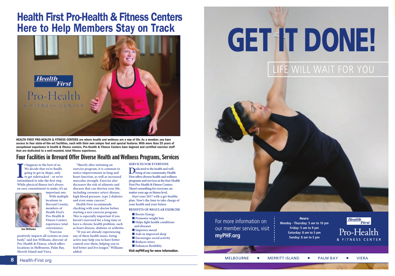# Health First Pro-Health & Fitness Centers Here to Help Members Stay on Track



HEALTH FIRST PRO-HEALTH & FITNESS CENTERS are where health and wellness are a way of life. As a member, you have access to four state-of-the-art facilities, each with their own unique feel and special features. With more than 25 years of exceptional experience in health & fitness centers, Pro-Health & Fitness Centers have degreed and certified exercise staff that are dedicated to a well-rounded, total fitness experience.

### Four Facilities in Brevard Offer Diverse Health and Wellness Programs, Services

**I** thappens to the best of us.<br>We decide that we're finally going to get in shape, only to get side<br>tracked – or we're intimidated to take the first step. **t happens to the best of us. We decide that we're finally going to get in shape, only to get sidetracked – or we're While physical fitness isn't always an easy commitment to make, it's an** 



**Pro-Health & Fitness Centers experience total convenience. "Exercise** 

**positively impacts all systems in your body," said Jon Williams, director of Pro-Health & Fitness, which offers locations in Melbourne, Palm Bay, Merritt Island and Viera.** 

**"Shortly after initiating an exercise program, it is common to notice improvements in lung and heart function, as well as increased muscular strength. Exercise also decreases the risk of ailments and diseases that can shorten your life, including coronary artery disease, high blood pressure, type 2 diabetes and even some cancers."** 

**Health First recommends checking with your doctor before starting a new exercise program. This is especially important if you haven't exercised for a long time or have a chronic health problem, such as heart disease, diabetes or arthritis.** 

**"If you are already experiencing any of these health issues, being active may help you to have better control over them, helping you to feel better and live longer," Williams added.**

#### **SERVICES FOR EVERYONE**

**Dedicated to the health and well-being of our community, Health First offers diverse health and wellness programs and services at the four Health First Pro-Health & Fitness Centers. There's something for everyone, no matter your age or fitness level. Start your 2017 with a get-healthy plan. Now's the time to take charge of your health and your future. BENEFITS OF REGULAR EXERCISE**

> **n** Boosts Energy **n** Promotes weight loss  $\blacksquare$  **Helps fight health conditions and diseases n** Improves mood **n** Aids in improved sleep **Encourages social activity** n **Reduces stress n** Enhances flexibility

Visit myPHF.org for more information.

# GET IT DONE!

# LIFE WILL WAIT FOR YOU



For more information on our member services, visit **myPHF.org**

Hours: **Monday - Thursday: 5 am to 10 pm Friday: 5 am to 9 pm Saturday: 8 am to 5 pm Sunday: 8 am to 5 pm**

**Health First** 

Pro-Health & FITNESS CENTER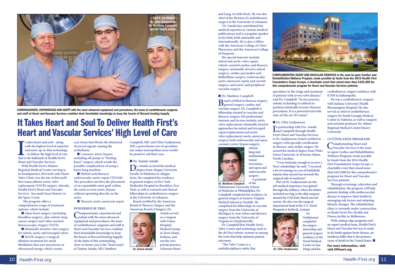

COMPASSIONATE, EXPERIENCED AND ADEPT with the most advanced equipment and procedures, the team of cardiothoracic surgeons and staff at Heart and Vascular Services combine their formidable knowledge to keep the hearts of Brevard beating happily.

# It Takes Heart and Soul To Deliver Health First's Heart and Vascular Services' High Level of Care

t takes heart and soul – along<br>with the highest level of experti<br>and most-up-to-date technolog<br>- to deliver the high level of car<br>that is the hallmark of Health First's **t takes heart and soul – along with the highest level of expertise and most-up-to-date technology – to deliver the high level of care Heart and Vascular Services.** 

**With Health First's Holmes Regional Medical Center serving as its headquarters, Brevard's only Heart Valve Clinic was the site of Brevard's first transcatheter aortic valve replacement (TAVR) surgery. Already, Health First's Heart and Vascular Services has made heart history in the Space Coast.**

**The program offers a comprehensive range of treatment options, which include:**

**n** Open heart surgery (including **bloodless surgery), plus robotic lung cancer surgery and video-assisted thoracoscopic surgery (VATS)** 

**n** Minimally invasive valve surgery **for mitral, aortic and tricuspid valves**   $M$ **MAZE** surgery, a surgical **ablation treatment for atrial fibrillation that uses microwave or ultrasound energy, which creates** 

**scar tissue that blocks the abnormal electrical signals causing the arrhythmia.**

**n** Coronary artery bypass, **including off-pump or "beating heart" surgery, which avoids the possible complications of using a heart-lung machine** p-to-date technology arrhythmia. any major metropolitan areas would<br>the high level of care Coronary artery bypass,<br>trk of Health First's including off-pump or "beating<br>lar Services heart" surgery which evoids the Dr. Tamim

> **Hybrid arch/thoracic endovascular aortic repair (TEVAR). The procedure involves the placement of an expandable stent graft within the aorta to treat aortic disease without operating directly on the aorta.**

**n** Thoracic aortic aneurysm repair

#### **POWERHOUSE TRIO**

Compassionate, experienced and **added equipment and procedures, the team of cardiothoracic surgeons and staff at Heart and Vascular Services combine their formidable knowledge to keep the hearts of Brevard beating happily. At the helm of this outstanding, close-to-home care is the "heart team" of Tamim Antaki, MD, Matthew** 

**Campbell, MD, and Ulfur Gudjonsson, MD, a powerhouse trio of specialists any major metropolitan areas would be proud to call their own.** 

#### n **Dr. Tamim Antaki**

FOR EXTREMELT SURGERY, WHICH AVOIDS the<br>
possible complications of using a<br> **degree from Aleppo University**<br>  $\frac{1}{2}$ <br> **degree from Aleppo University Faculty of Medicine in Aleppo, Syria. He completed his residency in general surgery at New York Methodist Hospital in Brooklyn, New York, as well as research and clinical fellowships in cardiothoracic surgery at the University of Arkansas. Board certified by the American Board of Thoracic Surgery and the American Board of Surgery, Dr.** 



**and Lung, in Little Rock. He was also chief of the division of cardiothoracic surgery at the University of Arkansas.**

 **Dr. Antaki has contributed his medical expertise to various medical publications and is a popular speaker in his field, both nationally and internationally. He is also a fellow with the American College of Chest Physicians and the American College of Surgeons.**

**His special interests include: mitral and aortic valve repair; robotic-assisted cardiac and thoracic surgery; minimally invasive mitral surgery; cardiac pacemaker and defibrillator surgery; endovascular aortic aneurysm repair and carotid surgery; and aortic and peripheral vascular surgery.**

#### **n** Dr. Matthew Campbell **Board certified in thoracic surgery, general surgery, cardiac and vascular surgery, Dr. Campbell is fellowship-trained in vascular and thoracic surgery. His professional interests and focuses include: aortic valve replacement; minimally invasive approaches for mitral and tricuspid repair/replacement and aortic**  repart/replacement and aortic<br>
valve replacement; aortic aneurysm First's l<br>
surgery both endovescular and onen. is Dr. **surgery, both endovascular and open; a** interests and focuses include: aortic<br>
valve replacement; minimally invasive<br>
approaches for mitral and tricuspid<br>  $\Gamma$  and Campbell through Health<br>  $\Gamma$  and Campbell through Health

**coronary artery bypass surgery; robotic lung and mediastinal tumor resections;** 

**Hahnemann University School of Medicine in Philadelphia, Dr. Campbell completed his residency in general surgery at Eastern Virginia Medical School in Norfolk. He completed his fellowships in vascular** 

Dr. Matthew Campbell



COMPLEMENTING HEART AND VASCULAR SERVICES is the soon-to-open Cardiac and Rehabilitation Wellness Program, made possible by funds from the 2016 Health First Foundation's Grape Escape, a charitable event that raised more than \$425,000 for this comprehensive program for Heart and Vascular Services patients.

**specializes in the triage and treatment of patients with severe valve disease," said Dr. Campbell. "In our practice, robotic technology is utilized to perform minimally invasive thoracic procedures. It is a powerful tool with state-of-the-art 3D vision."**

#### **n** Dr. Ulfur Gudjonsson

**I n partnership with Drs. Antaki First's Heart and Vascular Services is Dr. Gudjonsson, board certified in surgery with specialty certification in thoracic and cardiac surgery. He earned his medical degree from Wake Forest University in Winston-Salem, North Carolina.** 

**"I was fortunate enough to receive a Navy scholarship," he said. "I received a lot of training on care of battlefield injuries that steered me towards the surgical side of medicine."**

**Part of Dr. Gudjonsson's on-the-**Part of Dr. Gudjonsson's on-the-<br>
job medical experience was gained<br>
For the surface space of the surface space of the surface space of the surface space of the surface space of the space of the space of the space of the s **through the military, where his duties included serving as the ship surgeon aboard the USS Kitty Hawk aircraft carrier. He also was the surgical department head at the U.S. Naval Hospital in Keflavik, Iceland.** 

> **Dr. Gudjonsson completed his surgery internship and general surgery residency at the Naval Medical**

![](_page_5_Picture_30.jpeg)

**Diego and his** 

**cardiothoracic surgery residence with IUSM in Indianapolis.** 

**He was a cardiothoracic surgeon with Indiana University Health Bloomington Hospital. He also served as chief of cardiothoracic surgery for South Georgia Medical Center in Valdosta, as well as surgeon and assistant professor for Athens Regional Medical Center/Emory University.**

#### **CUTTING EDGE PROGRAMS**

**Complementing Heart and Vascular Services is the soonto-open Cardiac and Rehabilitation Wellness Program, made possible by funds from the 2016 Health First Foundation's Grape Escape, a charitable event that raised more than \$425,000 for this comprehensive program for Heart and Vascular Services patients.**  nd open and<br>
a lot of training on care of battlefield<br>
injuries that steered me towards the<br>
A graduate<br>
A graduate<br>
A graduate<br>
a surgical side of medicine."<br>
<br>
<br>
Program for Heart and Vascular<br>  $\frac{1}{2}$ <br>  $\frac{1}{2}$ <br>  $\frac{$ 

> **Through screenings, education and rehabilitation, the program will help patients dealing with cardiovascular disease to improve their health by managing risk factors and adopting lifestyle changes. The rehabilitation clinic is currently under construction at Heath First's Pro-Health and Fitness facility in Melbourne.**

**With cutting-edge programs and an expert medical team, Health First's Heart and Vascular Services is ready to do battle against heart disease, an insidious killer that is the primary cause of death in the United States.** 

For more information, visit visit HFheart.org

![](_page_5_Picture_41.jpeg)

**and open and endovascular surgery. A graduate** 

**of the** 

**Center in San**  Dr. Ulfur Gudjonsson

**Michigan in Ann Arbor and thoracic surgery from the University of Virginia in Charlottesville. Dr. Campbell lists Health First's Valve Center and technology such as the daVinci robotic systems as among** 

**the tools that help optimize patient outcomes. "The Valve Center is a multidisciplinary entity that**